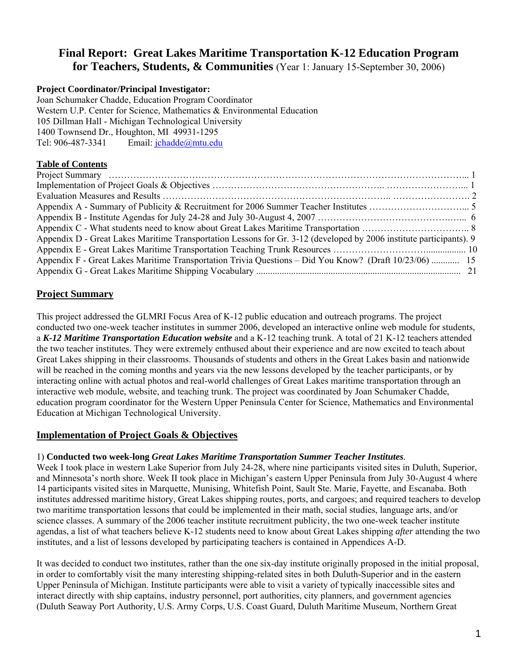# **Final Report: Great Lakes Maritime Transportation K-12 Education Program for Teachers, Students, & Communities** (Year 1: January 15-September 30, 2006)

# **Project Coordinator/Principal Investigator:**

Joan Schumaker Chadde, Education Program Coordinator Western U.P. Center for Science, Mathematics & Environmental Education 105 Dillman Hall - Michigan Technological University 1400 Townsend Dr., Houghton, MI 49931-1295 Tel: 906-487-3341 Email: [jchadde@mtu.edu](mailto:jchadde@mtu.edu)

# **Table of Contents**

| Appendix D - Great Lakes Maritime Transportation Lessons for Gr. 3-12 (developed by 2006 institute participants). 9 |  |
|---------------------------------------------------------------------------------------------------------------------|--|
|                                                                                                                     |  |
| Appendix F - Great Lakes Maritime Transportation Trivia Questions – Did You Know? (Draft 10/23/06)  15              |  |
|                                                                                                                     |  |

# **Project Summary**

This project addressed the GLMRI Focus Area of K-12 public education and outreach programs. The project conducted two one-week teacher institutes in summer 2006, developed an interactive online web module for students, a *K-12 Maritime Transportation Education website* and a K-12 teaching trunk. A total of 21 K-12 teachers attended the two teacher institutes. They were extremely enthused about their experience and are now excited to teach about Great Lakes shipping in their classrooms. Thousands of students and others in the Great Lakes basin and nationwide will be reached in the coming months and years via the new lessons developed by the teacher participants, or by interacting online with actual photos and real-world challenges of Great Lakes maritime transportation through an interactive web module, website, and teaching trunk. The project was coordinated by Joan Schumaker Chadde, education program coordinator for the Western Upper Peninsula Center for Science, Mathematics and Environmental Education at Michigan Technological University.

# **Implementation of Project Goals & Objectives**

# 1) **Conducted two week-long** *Great Lakes Maritime Transportation Summer Teacher Institutes.*

Week I took place in western Lake Superior from July 24-28, where nine participants visited sites in Duluth, Superior, and Minnesota's north shore. Week II took place in Michigan's eastern Upper Peninsula from July 30-August 4 where 14 participants visited sites in Marquette, Munising, Whitefish Point, Sault Ste. Marie, Fayette, and Escanaba. Both institutes addressed maritime history, Great Lakes shipping routes, ports, and cargoes; and required teachers to develop two maritime transportation lessons that could be implemented in their math, social studies, language arts, and/or science classes. A summary of the 2006 teacher institute recruitment publicity, the two one-week teacher institute agendas, a list of what teachers believe K-12 students need to know about Great Lakes shipping *after* attending the two institutes, and a list of lessons developed by participating teachers is contained in Appendices A-D.

It was decided to conduct two institutes, rather than the one six-day institute originally proposed in the initial proposal, in order to comfortably visit the many interesting shipping-related sites in both Duluth-Superior and in the eastern Upper Peninsula of Michigan. Institute participants were able to visit a variety of typically inaccessible sites and interact directly with ship captains, industry personnel, port authorities, city planners, and government agencies (Duluth Seaway Port Authority, U.S. Army Corps, U.S. Coast Guard, Duluth Maritime Museum, Northern Great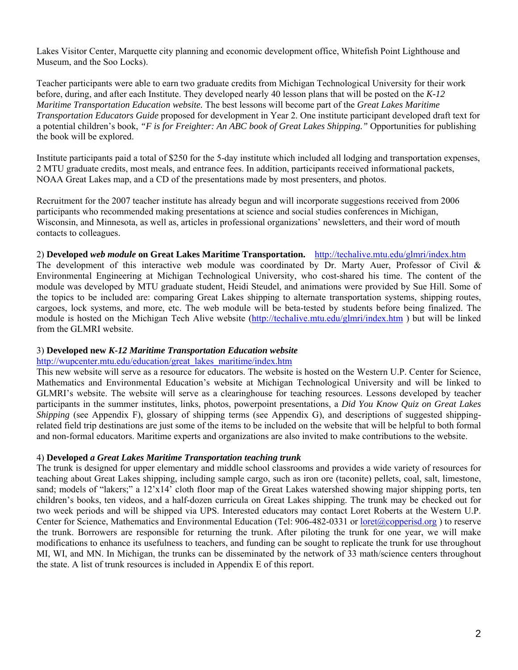Lakes Visitor Center, Marquette city planning and economic development office, Whitefish Point Lighthouse and Museum, and the Soo Locks).

Teacher participants were able to earn two graduate credits from Michigan Technological University for their work before, during, and after each Institute. They developed nearly 40 lesson plans that will be posted on the *K-12 Maritime Transportation Education website.* The best lessons will become part of the *Great Lakes Maritime Transportation Educators Guide* proposed for development in Year 2. One institute participant developed draft text for a potential children's book, *"F is for Freighter: An ABC book of Great Lakes Shipping."* Opportunities for publishing the book will be explored.

Institute participants paid a total of \$250 for the 5-day institute which included all lodging and transportation expenses, 2 MTU graduate credits, most meals, and entrance fees. In addition, participants received informational packets, NOAA Great Lakes map, and a CD of the presentations made by most presenters, and photos.

Recruitment for the 2007 teacher institute has already begun and will incorporate suggestions received from 2006 participants who recommended making presentations at science and social studies conferences in Michigan, Wisconsin, and Minnesota, as well as, articles in professional organizations' newsletters, and their word of mouth contacts to colleagues.

# 2) **Developed** *web module* **on Great Lakes Maritime Transportation.** <http://techalive.mtu.edu/glmri/index.htm>

The development of this interactive web module was coordinated by Dr. Marty Auer, Professor of Civil & Environmental Engineering at Michigan Technological University, who cost-shared his time. The content of the module was developed by MTU graduate student, Heidi Steudel, and animations were provided by Sue Hill. Some of the topics to be included are: comparing Great Lakes shipping to alternate transportation systems, shipping routes, cargoes, lock systems, and more, etc. The web module will be beta-tested by students before being finalized. The module is hosted on the Michigan Tech Alive website (<http://techalive.mtu.edu/glmri/index.htm>) but will be linked from the GLMRI website.

#### 3) **Developed new** *K-12 Maritime Transportation Education website*

#### [http://wupcenter.mtu.edu/education/great\\_lakes\\_maritime/index.htm](http://wupcenter.mtu.edu/education/great_lakes_maritime/index.htm)

This new website will serve as a resource for educators. The website is hosted on the Western U.P. Center for Science, Mathematics and Environmental Education's website at Michigan Technological University and will be linked to GLMRI's website. The website will serve as a clearinghouse for teaching resources. Lessons developed by teacher participants in the summer institutes, links, photos, powerpoint presentations, a *Did You Know Quiz on Great Lakes Shipping* (see Appendix F), glossary of shipping terms (see Appendix G), and descriptions of suggested shippingrelated field trip destinations are just some of the items to be included on the website that will be helpful to both formal and non-formal educators. Maritime experts and organizations are also invited to make contributions to the website.

#### 4) **Developed** *a Great Lakes Maritime Transportation teaching trunk*

The trunk is designed for upper elementary and middle school classrooms and provides a wide variety of resources for teaching about Great Lakes shipping, including sample cargo, such as iron ore (taconite) pellets, coal, salt, limestone, sand; models of "lakers;" a 12'x14' cloth floor map of the Great Lakes watershed showing major shipping ports, ten children's books, ten videos, and a half-dozen curricula on Great Lakes shipping. The trunk may be checked out for two week periods and will be shipped via UPS. Interested educators may contact Loret Roberts at the Western U.P. Center for Science, Mathematics and Environmental Education (Tel: 906-482-0331 or [loret@copperisd.org](mailto:loret@copperisd.org)) to reserve the trunk. Borrowers are responsible for returning the trunk. After piloting the trunk for one year, we will make modifications to enhance its usefulness to teachers, and funding can be sought to replicate the trunk for use throughout MI, WI, and MN. In Michigan, the trunks can be disseminated by the network of 33 math/science centers throughout the state. A list of trunk resources is included in Appendix E of this report.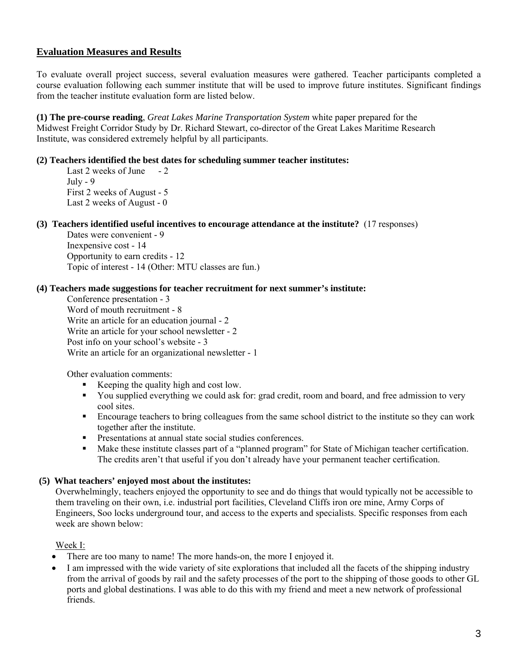# **Evaluation Measures and Results**

To evaluate overall project success, several evaluation measures were gathered. Teacher participants completed a course evaluation following each summer institute that will be used to improve future institutes. Significant findings from the teacher institute evaluation form are listed below.

**(1) The pre-course reading**, *Great Lakes Marine Transportation System* white paper prepared for the Midwest Freight Corridor Study by Dr. Richard Stewart, co-director of the Great Lakes Maritime Research Institute, was considered extremely helpful by all participants.

#### **(2) Teachers identified the best dates for scheduling summer teacher institutes:**

Last 2 weeks of June - 2  $July - 9$ First 2 weeks of August - 5 Last 2 weeks of August - 0

**(3) Teachers identified useful incentives to encourage attendance at the institute?** (17 responses)

Dates were convenient - 9 Inexpensive cost - 14 Opportunity to earn credits - 12 Topic of interest - 14 (Other: MTU classes are fun.)

# **(4) Teachers made suggestions for teacher recruitment for next summer's institute:**

Conference presentation - 3 Word of mouth recruitment - 8 Write an article for an education journal - 2 Write an article for your school newsletter - 2 Post info on your school's website - 3 Write an article for an organizational newsletter - 1

Other evaluation comments:

- Keeping the quality high and cost low.
- You supplied everything we could ask for: grad credit, room and board, and free admission to very cool sites.
- Encourage teachers to bring colleagues from the same school district to the institute so they can work together after the institute.
- Presentations at annual state social studies conferences.
- Make these institute classes part of a "planned program" for State of Michigan teacher certification. The credits aren't that useful if you don't already have your permanent teacher certification.

#### **(5) What teachers' enjoyed most about the institutes:**

Overwhelmingly, teachers enjoyed the opportunity to see and do things that would typically not be accessible to them traveling on their own, i.e. industrial port facilities, Cleveland Cliffs iron ore mine, Army Corps of Engineers, Soo locks underground tour, and access to the experts and specialists. Specific responses from each week are shown below:

Week I:

- There are too many to name! The more hands-on, the more I enjoyed it.
- I am impressed with the wide variety of site explorations that included all the facets of the shipping industry from the arrival of goods by rail and the safety processes of the port to the shipping of those goods to other GL ports and global destinations. I was able to do this with my friend and meet a new network of professional friends.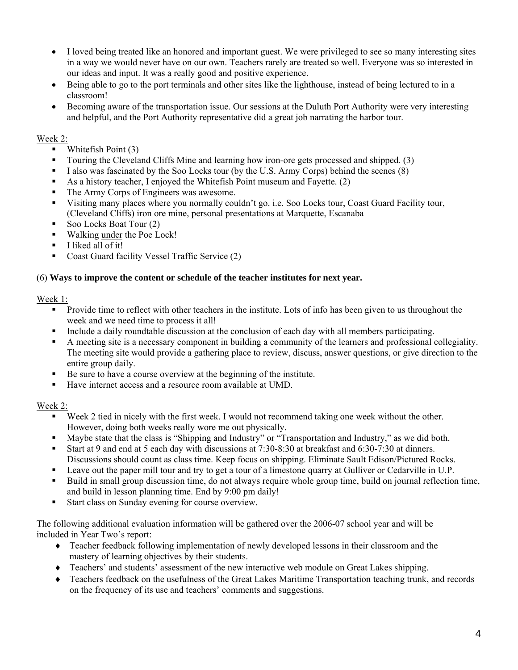- I loved being treated like an honored and important guest. We were privileged to see so many interesting sites in a way we would never have on our own. Teachers rarely are treated so well. Everyone was so interested in our ideas and input. It was a really good and positive experience.
- Being able to go to the port terminals and other sites like the lighthouse, instead of being lectured to in a classroom!
- Becoming aware of the transportation issue. Our sessions at the Duluth Port Authority were very interesting and helpful, and the Port Authority representative did a great job narrating the harbor tour.

# Week 2:

- Whitefish Point (3)
- Touring the Cleveland Cliffs Mine and learning how iron-ore gets processed and shipped. (3)
- I also was fascinated by the Soo Locks tour (by the U.S. Army Corps) behind the scenes  $(8)$
- As a history teacher, I enjoyed the Whitefish Point museum and Fayette. (2)
- The Army Corps of Engineers was awesome.
- Visiting many places where you normally couldn't go. i.e. Soo Locks tour, Coast Guard Facility tour, (Cleveland Cliffs) iron ore mine, personal presentations at Marquette, Escanaba
- Soo Locks Boat Tour  $(2)$
- Walking under the Poe Lock!
- **I** liked all of it!
- Coast Guard facility Vessel Traffic Service (2)

#### (6) **Ways to improve the content or schedule of the teacher institutes for next year.**

# Week 1:

- **Provide time to reflect with other teachers in the institute.** Lots of info has been given to us throughout the week and we need time to process it all!
- Include a daily roundtable discussion at the conclusion of each day with all members participating.
- A meeting site is a necessary component in building a community of the learners and professional collegiality. The meeting site would provide a gathering place to review, discuss, answer questions, or give direction to the entire group daily.
- Be sure to have a course overview at the beginning of the institute.
- Have internet access and a resource room available at UMD.

# Week 2:

- Week 2 tied in nicely with the first week. I would not recommend taking one week without the other. However, doing both weeks really wore me out physically.
- Maybe state that the class is "Shipping and Industry" or "Transportation and Industry," as we did both.
- Start at 9 and end at 5 each day with discussions at 7:30-8:30 at breakfast and 6:30-7:30 at dinners. Discussions should count as class time. Keep focus on shipping. Eliminate Sault Edison/Pictured Rocks.
- Leave out the paper mill tour and try to get a tour of a limestone quarry at Gulliver or Cedarville in U.P.
- Build in small group discussion time, do not always require whole group time, build on journal reflection time, and build in lesson planning time. End by 9:00 pm daily!
- Start class on Sunday evening for course overview.

The following additional evaluation information will be gathered over the 2006-07 school year and will be included in Year Two's report:

- ♦ Teacher feedback following implementation of newly developed lessons in their classroom and the mastery of learning objectives by their students.
- ♦ Teachers' and students' assessment of the new interactive web module on Great Lakes shipping.
- Teachers feedback on the usefulness of the Great Lakes Maritime Transportation teaching trunk, and records on the frequency of its use and teachers' comments and suggestions.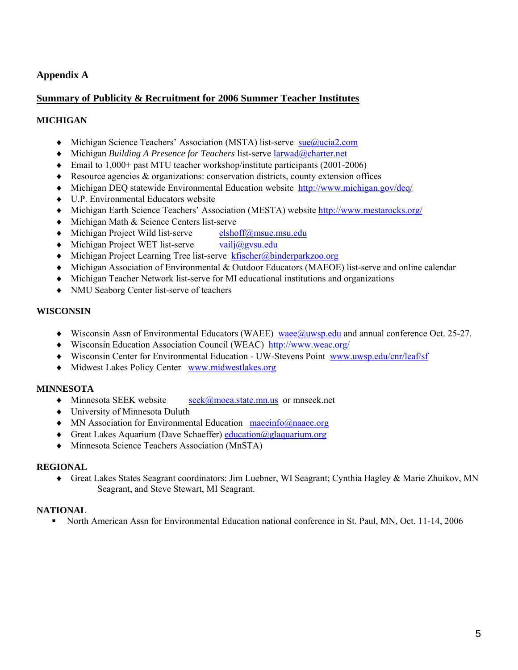# **Appendix A**

# **Summary of Publicity & Recruitment for 2006 Summer Teacher Institutes**

### **MICHIGAN**

- ♦ Michigan Science Teachers' Association (MSTA) list-serve [sue@ucia2.com](mailto:sue@ucia2.com)
- ♦ Michigan *Building A Presence for Teachers* list-serve [larwad@charter.net](mailto:larwad@charter.net)
- ♦ Email to 1,000+ past MTU teacher workshop/institute participants (2001-2006)
- Resource agencies  $\&$  organizations: conservation districts, county extension offices
- ♦ Michigan DEQ statewide Environmental Education website <http://www.michigan.gov/deq/>
- ♦ U.P. Environmental Educators website
- ♦ Michigan Earth Science Teachers' Association (MESTA) website <http://www.mestarocks.org/>
- ♦ Michigan Math & Science Centers list-serve
- ♦ Michigan Project Wild list-serve [elshoff@msue.msu.edu](mailto:elshoff@msue.msu.edu)
- $\blacklozenge$  Michigan Project WET list-serve vail $\lbrack \partial g \rbrack$ vsu.edu
- ♦ Michigan Project Learning Tree list-serve [kfischer@binderparkzoo.org](mailto:kfischer@binderparkzoo.org)
- ♦ Michigan Association of Environmental & Outdoor Educators (MAEOE) list-serve and online calendar
- ♦ Michigan Teacher Network list-serve for MI educational institutions and organizations
- ♦ NMU Seaborg Center list-serve of teachers

#### **WISCONSIN**

- ♦ Wisconsin Assn of Environmental Educators (WAEE) [waee@uwsp.edu](mailto:waee@uwsp.edu) and annual conference Oct. 25-27.
- ♦ Wisconsin Education Association Council (WEAC) <http://www.weac.org/>
- ♦ Wisconsin Center for Environmental Education UW-Stevens Point [www.uwsp.edu/cnr/leaf/sf](http://www.uwsp.edu/cnr/leaf/sf)
- ♦ Midwest Lakes Policy Center [www.midwestlakes.org](http://www.midwestlakes.org/)

# **MINNESOTA**

- ◆ Minnesota SEEK website [seek@moea.state.mn.us](mailto:seek@moea.state.mn.us) or mnseek.net
- ♦ University of Minnesota Duluth
- MN Association for Environmental Education [maeeinfo@naaee.org](mailto:maeeinfo@naaee.org)
- ♦ Great Lakes Aquarium (Dave Schaeffer) [education@glaquarium.org](mailto:education@glaquarium.org)
- ♦ Minnesota Science Teachers Association (MnSTA)

#### **REGIONAL**

♦ Great Lakes States Seagrant coordinators: Jim Luebner, WI Seagrant; Cynthia Hagley & Marie Zhuikov, MN Seagrant, and Steve Stewart, MI Seagrant.

#### **NATIONAL**

North American Assn for Environmental Education national conference in St. Paul, MN, Oct. 11-14, 2006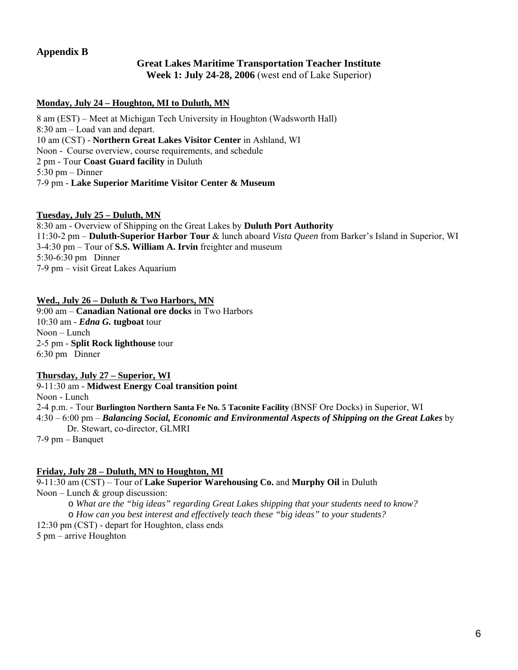# **Appendix B**

#### **Great Lakes Maritime Transportation Teacher Institute Week 1: July 24-28, 2006** (west end of Lake Superior)

#### **Monday, July 24 – Houghton, MI to Duluth, MN**

8 am (EST) – Meet at Michigan Tech University in Houghton (Wadsworth Hall) 8:30 am – Load van and depart. 10 am (CST) - **Northern Great Lakes Visitor Center** in Ashland, WI Noon - Course overview, course requirements, and schedule 2 pm - Tour **Coast Guard facility** in Duluth 5:30 pm – Dinner 7-9 pm - **Lake Superior Maritime Visitor Center & Museum**

#### **Tuesday, July 25 – Duluth, MN**

8:30 am - Overview of Shipping on the Great Lakes by **Duluth Port Authority** 11:30-2 pm – **Duluth-Superior Harbor Tour** & lunch aboard *Vista Queen* from Barker's Island in Superior, WI 3-4:30 pm – Tour of **S.S. William A. Irvin** freighter and museum 5:30-6:30 pm Dinner 7-9 pm – visit Great Lakes Aquarium

#### **Wed., July 26 – Duluth & Two Harbors, MN**

9:00 am – **Canadian National ore docks** in Two Harbors 10:30 am - *Edna G.* **tugboat** tour Noon – Lunch 2-5 pm - **Split Rock lighthouse** tour 6:30 pm Dinner

#### **Thursday, July 27 – Superior, WI**

9-11:30 am - **Midwest Energy Coal transition point** Noon - Lunch 2-4 p.m. - Tour **Burlington Northern Santa Fe No. 5 Taconite Facility** (BNSF Ore Docks) in Superior, WI 4:30 – 6:00 pm – *Balancing Social, Economic and Environmental Aspects of Shipping on the Great Lakes* by Dr. Stewart, co-director, GLMRI 7-9 pm – Banquet

#### **Friday, July 28 – Duluth, MN to Houghton, MI**

9-11:30 am (CST) – Tour of **Lake Superior Warehousing Co.** and **Murphy Oil** in Duluth Noon – Lunch  $\&$  group discussion:

o *What are the "big ideas" regarding Great Lakes shipping that your students need to know?*  o *How can you best interest and effectively teach these "big ideas" to your students?*  12:30 pm (CST) - depart for Houghton, class ends 5 pm – arrive Houghton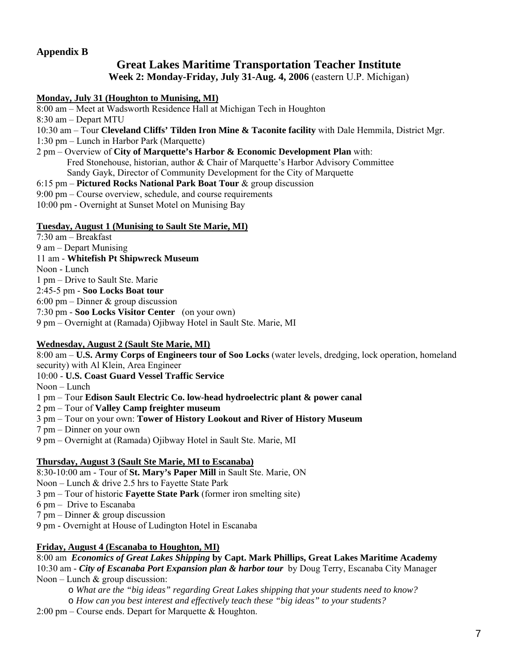# **Appendix B**

# **Great Lakes Maritime Transportation Teacher Institute**

**Week 2: Monday-Friday, July 31-Aug. 4, 2006** (eastern U.P. Michigan)

# **Monday, July 31 (Houghton to Munising, MI)**

8:00 am – Meet at Wadsworth Residence Hall at Michigan Tech in Houghton

8:30 am – Depart MTU

- 10:30 am Tour **Cleveland Cliffs' Tilden Iron Mine & Taconite facility** with Dale Hemmila, District Mgr.
- 1:30 pm Lunch in Harbor Park (Marquette)
- 2 pm Overview of **City of Marquette's Harbor & Economic Development Plan** with: Fred Stonehouse, historian, author & Chair of Marquette's Harbor Advisory Committee Sandy Gayk, Director of Community Development for the City of Marquette
- 6:15 pm **Pictured Rocks National Park Boat Tour** & group discussion
- 9:00 pm Course overview, schedule, and course requirements
- 10:00 pm Overnight at Sunset Motel on Munising Bay

# **Tuesday, August 1 (Munising to Sault Ste Marie, MI)**

7:30 am – Breakfast 9 am – Depart Munising 11 am - **Whitefish Pt Shipwreck Museum** Noon - Lunch 1 pm – Drive to Sault Ste. Marie 2:45-5 pm - **Soo Locks Boat tour** 6:00 pm – Dinner & group discussion 7:30 pm - **Soo Locks Visitor Center** (on your own) 9 pm – Overnight at (Ramada) Ojibway Hotel in Sault Ste. Marie, MI

# **Wednesday, August 2 (Sault Ste Marie, MI)**

8:00 am – **U.S. Army Corps of Engineers tour of Soo Locks** (water levels, dredging, lock operation, homeland security) with Al Klein, Area Engineer

- 10:00 **U.S. Coast Guard Vessel Traffic Service**
- Noon Lunch
- 1 pm Tour **Edison Sault Electric Co. low-head hydroelectric plant & power canal**
- 2 pm Tour of **Valley Camp freighter museum**
- 3 pm Tour on your own: **Tower of History Lookout and River of History Museum**
- 7 pm Dinner on your own
- 9 pm Overnight at (Ramada) Ojibway Hotel in Sault Ste. Marie, MI

# **Thursday, August 3 (Sault Ste Marie, MI to Escanaba)**

8:30-10:00 am - Tour of **St. Mary's Paper Mill** in Sault Ste. Marie, ON

- Noon Lunch & drive 2.5 hrs to Fayette State Park
- 3 pm Tour of historic **Fayette State Park** (former iron smelting site)
- 6 pm Drive to Escanaba
- 7 pm Dinner & group discussion
- 9 pm Overnight at House of Ludington Hotel in Escanaba

# **Friday, August 4 (Escanaba to Houghton, MI)**

8:00 am *Economics of Great Lakes Shipping* **by Capt. Mark Phillips, Great Lakes Maritime Academy**  10:30 am - *City of Escanaba Port Expansion plan & harbor tour* by Doug Terry, Escanaba City Manager Noon – Lunch  $\&$  group discussion:

o *What are the "big ideas" regarding Great Lakes shipping that your students need to know?* 

o *How can you best interest and effectively teach these "big ideas" to your students?* 

2:00 pm – Course ends. Depart for Marquette & Houghton.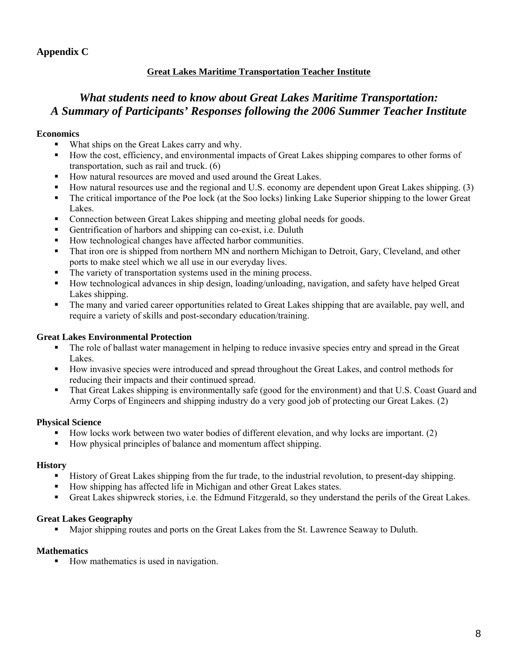# **Appendix C**

# **Great Lakes Maritime Transportation Teacher Institute**

# *What students need to know about Great Lakes Maritime Transportation: A Summary of Participants' Responses following the 2006 Summer Teacher Institute*

# **Economics**

- What ships on the Great Lakes carry and why.
- How the cost, efficiency, and environmental impacts of Great Lakes shipping compares to other forms of transportation, such as rail and truck. (6)
- How natural resources are moved and used around the Great Lakes.
- How natural resources use and the regional and U.S. economy are dependent upon Great Lakes shipping. (3)
- The critical importance of the Poe lock (at the Soo locks) linking Lake Superior shipping to the lower Great Lakes.
- Connection between Great Lakes shipping and meeting global needs for goods.
- Gentrification of harbors and shipping can co-exist, i.e. Duluth
- How technological changes have affected harbor communities.
- That iron ore is shipped from northern MN and northern Michigan to Detroit, Gary, Cleveland, and other ports to make steel which we all use in our everyday lives.
- The variety of transportation systems used in the mining process.
- How technological advances in ship design, loading/unloading, navigation, and safety have helped Great Lakes shipping.
- The many and varied career opportunities related to Great Lakes shipping that are available, pay well, and require a variety of skills and post-secondary education/training.

### **Great Lakes Environmental Protection**

- The role of ballast water management in helping to reduce invasive species entry and spread in the Great Lakes.
- How invasive species were introduced and spread throughout the Great Lakes, and control methods for reducing their impacts and their continued spread.
- That Great Lakes shipping is environmentally safe (good for the environment) and that U.S. Coast Guard and Army Corps of Engineers and shipping industry do a very good job of protecting our Great Lakes. (2)

#### **Physical Science**

- How locks work between two water bodies of different elevation, and why locks are important. (2)
- How physical principles of balance and momentum affect shipping.

#### **History**

- History of Great Lakes shipping from the fur trade, to the industrial revolution, to present-day shipping.
- How shipping has affected life in Michigan and other Great Lakes states.
- Great Lakes shipwreck stories, i.e. the Edmund Fitzgerald, so they understand the perils of the Great Lakes.

#### **Great Lakes Geography**

Major shipping routes and ports on the Great Lakes from the St. Lawrence Seaway to Duluth.

# **Mathematics**

■ How mathematics is used in navigation.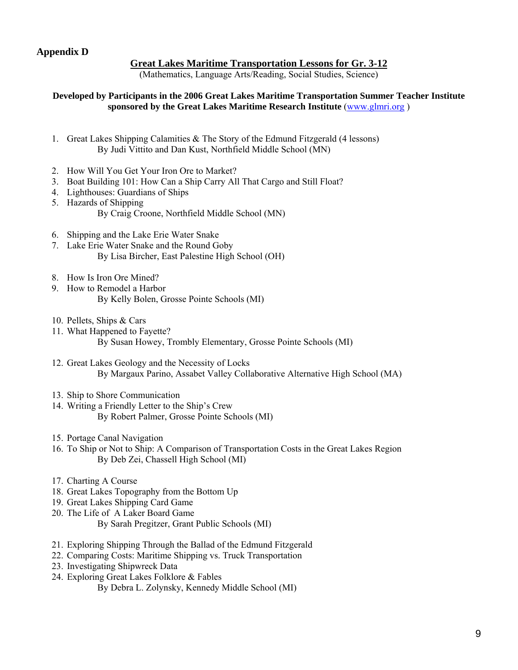# **Great Lakes Maritime Transportation Lessons for Gr. 3-12**

(Mathematics, Language Arts/Reading, Social Studies, Science)

### **Developed by Participants in the 2006 Great Lakes Maritime Transportation Summer Teacher Institute sponsored by the Great Lakes Maritime Research Institute** [\(www.glmri.org](http://www.glmri.org/) )

- 1. Great Lakes Shipping Calamities & The Story of the Edmund Fitzgerald (4 lessons) By Judi Vittito and Dan Kust, Northfield Middle School (MN)
- 2. How Will You Get Your Iron Ore to Market?
- 3. Boat Building 101: How Can a Ship Carry All That Cargo and Still Float?
- 4. Lighthouses: Guardians of Ships
- 5. Hazards of Shipping By Craig Croone, Northfield Middle School (MN)
- 6. Shipping and the Lake Erie Water Snake
- 7. Lake Erie Water Snake and the Round Goby By Lisa Bircher, East Palestine High School (OH)
- 8. How Is Iron Ore Mined?
- 9. How to Remodel a Harbor By Kelly Bolen, Grosse Pointe Schools (MI)
- 10. Pellets, Ships & Cars
- 11. What Happened to Fayette? By Susan Howey, Trombly Elementary, Grosse Pointe Schools (MI)
- 12. Great Lakes Geology and the Necessity of Locks By Margaux Parino, Assabet Valley Collaborative Alternative High School (MA)
- 13. Ship to Shore Communication
- 14. Writing a Friendly Letter to the Ship's Crew By Robert Palmer, Grosse Pointe Schools (MI)
- 15. Portage Canal Navigation
- 16. To Ship or Not to Ship: A Comparison of Transportation Costs in the Great Lakes Region By Deb Zei, Chassell High School (MI)
- 17. Charting A Course
- 18. Great Lakes Topography from the Bottom Up
- 19. Great Lakes Shipping Card Game
- 20. The Life of A Laker Board Game By Sarah Pregitzer, Grant Public Schools (MI)
- 21. Exploring Shipping Through the Ballad of the Edmund Fitzgerald
- 22. Comparing Costs: Maritime Shipping vs. Truck Transportation
- 23. Investigating Shipwreck Data
- 24. Exploring Great Lakes Folklore & Fables By Debra L. Zolynsky, Kennedy Middle School (MI)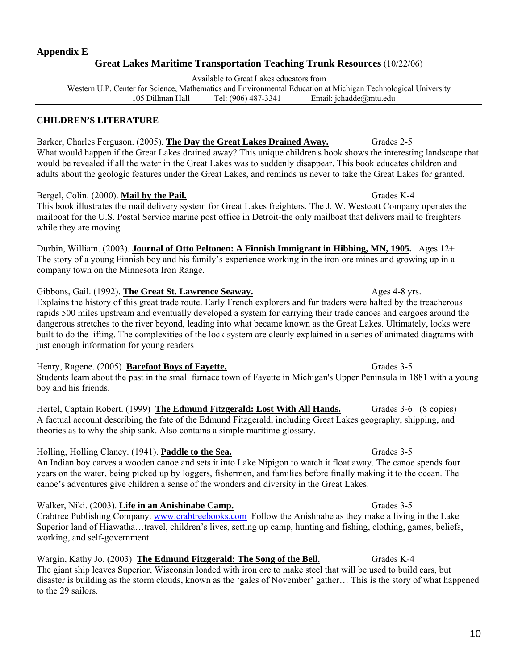# **Appendix E Great Lakes Maritime Transportation Teaching Trunk Resources** (10/22/06)

Available to Great Lakes educators from

Western U.P. Center for Science, Mathematics and Environmental Education at Michigan Technological University 105 Dillman Hall Tel: (906) 487-3341 Email: jchadde@mtu.edu

# **CHILDREN'S LITERATURE**

Barker, Charles Ferguson. (2005). **The Day the Great Lakes Drained Away.** Grades 2-5 What would happen if the Great Lakes drained away? This unique children's book shows the interesting landscape that would be revealed if all the water in the Great Lakes was to suddenly disappear. This book educates children and adults about the geologic features under the Great Lakes, and reminds us never to take the Great Lakes for granted.

# Bergel, Colin. (2000). **Mail by the Pail.** Grades K-4

This book illustrates the mail delivery system for Great Lakes freighters. The J. W. Westcott Company operates the mailboat for the U.S. Postal Service marine post office in Detroit-the only mailboat that delivers mail to freighters while they are moving.

Durbin, William. (2003). **Journal of Otto Peltonen: A Finnish Immigrant in Hibbing, MN, 1905.** Ages 12+ The story of a young Finnish boy and his family's experience working in the iron ore mines and growing up in a company town on the Minnesota Iron Range.

Gibbons, Gail. (1992). **The Great St. Lawrence Seaway.** Ages 4-8 yrs. Explains the history of this great trade route. Early French explorers and fur traders were halted by the treacherous rapids 500 miles upstream and eventually developed a system for carrying their trade canoes and cargoes around the dangerous stretches to the river beyond, leading into what became known as the Great Lakes. Ultimately, locks were built to do the lifting. The complexities of the lock system are clearly explained in a series of animated diagrams with just enough information for young readers

Henry, Ragene. (2005). **Barefoot Boys of Fayette.** Grades 3-5 Students learn about the past in the small furnace town of Fayette in Michigan's Upper Peninsula in 1881 with a young boy and his friends.

Hertel, Captain Robert. (1999) The Edmund Fitzgerald: Lost With All Hands. Grades 3-6 (8 copies) A factual account describing the fate of the Edmund Fitzgerald, including Great Lakes geography, shipping, and theories as to why the ship sank. Also contains a simple maritime glossary.

Holling, Holling Clancy. (1941). **Paddle to the Sea.** Grades 3-5 An Indian boy carves a wooden canoe and sets it into Lake Nipigon to watch it float away. The canoe spends four years on the water, being picked up by loggers, fishermen, and families before finally making it to the ocean. The canoe's adventures give children a sense of the wonders and diversity in the Great Lakes.

Walker, Niki. (2003). **Life in an Anishinabe Camp.** Grades 3-5 Crabtree Publishing Company. [www.crabtreebooks.com](http://www.crabtreebooks.com/) Follow the Anishnabe as they make a living in the Lake Superior land of Hiawatha…travel, children's lives, setting up camp, hunting and fishing, clothing, games, beliefs, working, and self-government.

Wargin, Kathy Jo. (2003) **The Edmund Fitzgerald: The Song of the Bell.** Grades K-4 The giant ship leaves Superior, Wisconsin loaded with iron ore to make steel that will be used to build cars, but disaster is building as the storm clouds, known as the 'gales of November' gather… This is the story of what happened to the 29 sailors.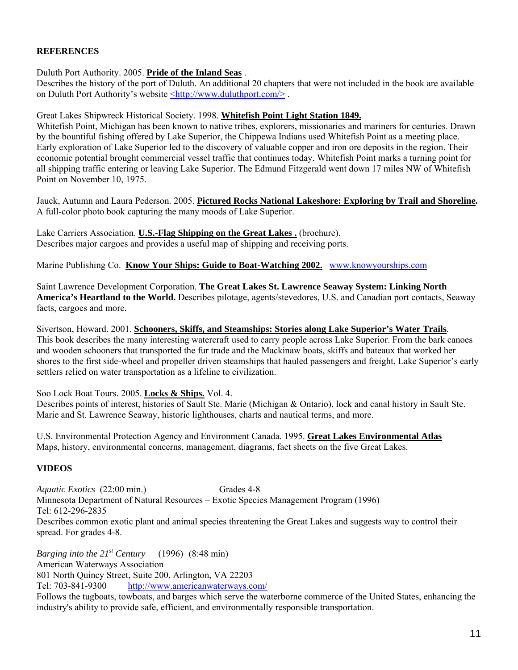# **REFERENCES**

Duluth Port Authority. 2005. **Pride of the Inland Seas** .

Describes the history of the port of Duluth. An additional 20 chapters that were not included in the book are available on Duluth Port Authority's website <http://www.duluthport.com/>.

Great Lakes Shipwreck Historical Society. 1998. **Whitefish Point Light Station 1849.**

Whitefish Point, Michigan has been known to native tribes, explorers, missionaries and mariners for centuries. Drawn by the bountiful fishing offered by Lake Superior, the Chippewa Indians used Whitefish Point as a meeting place. Early exploration of Lake Superior led to the discovery of valuable copper and iron ore deposits in the region. Their economic potential brought commercial vessel traffic that continues today. Whitefish Point marks a turning point for all shipping traffic entering or leaving Lake Superior. The Edmund Fitzgerald went down 17 miles NW of Whitefish Point on November 10, 1975.

Jauck, Autumn and Laura Pederson. 2005. **Pictured Rocks National Lakeshore: Exploring by Trail and Shoreline.**  A full-color photo book capturing the many moods of Lake Superior.

Lake Carriers Association. **U.S.-Flag Shipping on the Great Lakes .** (brochure). Describes major cargoes and provides a useful map of shipping and receiving ports.

Marine Publishing Co. **Know Your Ships: Guide to Boat-Watching 2002.** [www.knowyourships.com](http://www.knowyourships.com/)

Saint Lawrence Development Corporation. **The Great Lakes St. Lawrence Seaway System: Linking North America's Heartland to the World.** Describes pilotage, agents/stevedores, U.S. and Canadian port contacts, Seaway facts, cargoes and more.

Sivertson, Howard. 2001. **Schooners, Skiffs, and Steamships: Stories along Lake Superior's Water Trails**. This book describes the many interesting watercraft used to carry people across Lake Superior. From the bark canoes and wooden schooners that transported the fur trade and the Mackinaw boats, skiffs and bateaux that worked her shores to the first side-wheel and propeller driven steamships that hauled passengers and freight, Lake Superior's early settlers relied on water transportation as a lifeline to civilization.

Soo Lock Boat Tours. 2005. **Locks & Ships.** Vol. 4.

Describes points of interest, histories of Sault Ste. Marie (Michigan & Ontario), lock and canal history in Sault Ste. Marie and St. Lawrence Seaway, historic lighthouses, charts and nautical terms, and more.

U.S. Environmental Protection Agency and Environment Canada. 1995. **Great Lakes Environmental Atlas** Maps, history, environmental concerns, management, diagrams, fact sheets on the five Great Lakes.

# **VIDEOS**

*Aquatic Exotics* (22:00 min.) Grades 4-8 Minnesota Department of Natural Resources – Exotic Species Management Program (1996) Tel: 612-296-2835 Describes common exotic plant and animal species threatening the Great Lakes and suggests way to control their spread. For grades 4-8.

*Barging into the 21st Century* (1996) (8:48 min) American Waterways Association 801 North Quincy Street, Suite 200, Arlington, VA 22203 Tel: 703-841-9300 <http://www.americanwaterways.com/> Follows the tugboats, towboats, and barges which serve the waterborne commerce of the United States, enhancing the industry's ability to provide safe, efficient, and environmentally responsible transportation.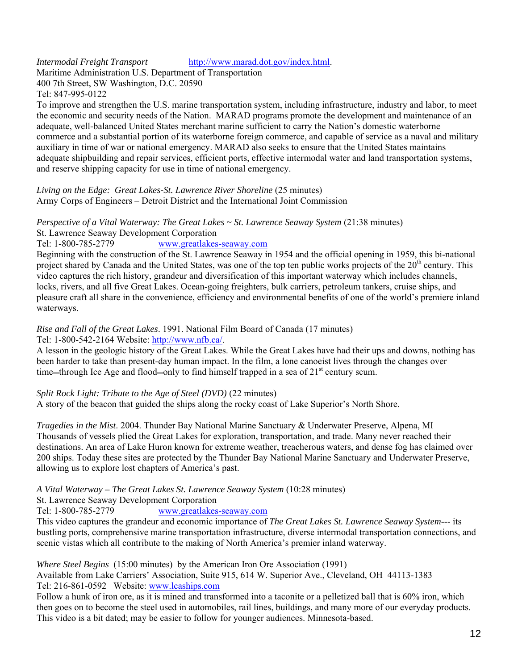*Intermodal Freight Transport* [http://www.marad.dot.gov/index.html.](http://www.marad.dot.gov/index.html)

Maritime Administration U.S. Department of Transportation 400 7th Street, SW Washington, D.C. 20590 Tel: 847-995-0122

To improve and strengthen the U.S. marine transportation system, including infrastructure, industry and labor, to meet the economic and security needs of the Nation. MARAD programs promote the development and maintenance of an adequate, well-balanced United States merchant marine sufficient to carry the Nation's domestic waterborne commerce and a substantial portion of its waterborne foreign commerce, and capable of service as a naval and military auxiliary in time of war or national emergency. MARAD also seeks to ensure that the United States maintains adequate shipbuilding and repair services, efficient ports, effective intermodal water and land transportation systems, and reserve shipping capacity for use in time of national emergency.

*Living on the Edge: Great Lakes-St. Lawrence River Shoreline* (25 minutes) Army Corps of Engineers – Detroit District and the International Joint Commission

*Perspective of a Vital Waterway: The Great Lakes ~ St. Lawrence Seaway System* (21:38 minutes) St. Lawrence Seaway Development Corporation Tel: 1-800-785-2779 [www.greatlakes-seaway.com](http://www.greatlakes-seaway.com/)

Beginning with the construction of the St. Lawrence Seaway in 1954 and the official opening in 1959, this bi-national project shared by Canada and the United States, was one of the top ten public works projects of the 20<sup>th</sup> century. This video captures the rich history, grandeur and diversification of this important waterway which includes channels, locks, rivers, and all five Great Lakes. Ocean-going freighters, bulk carriers, petroleum tankers, cruise ships, and pleasure craft all share in the convenience, efficiency and environmental benefits of one of the world's premiere inland

waterways.

# *Rise and Fall of the Great Lakes*. 1991. National Film Board of Canada (17 minutes)

Tel: 1-800-542-2164 Website: [http://www.nfb.ca/.](http://www.nfb.ca/)

A lesson in the geologic history of the Great Lakes. While the Great Lakes have had their ups and downs, nothing has been harder to take than present-day human impact. In the film, a lone canoeist lives through the changes over time—through Ice Age and flood—only to find himself trapped in a sea of  $21<sup>st</sup>$  century scum.

# *Split Rock Light: Tribute to the Age of Steel (DVD)* (22 minutes)

A story of the beacon that guided the ships along the rocky coast of Lake Superior's North Shore.

*Tragedies in the Mist*. 2004. Thunder Bay National Marine Sanctuary & Underwater Preserve, Alpena, MI Thousands of vessels plied the Great Lakes for exploration, transportation, and trade. Many never reached their destinations. An area of Lake Huron known for extreme weather, treacherous waters, and dense fog has claimed over 200 ships. Today these sites are protected by the Thunder Bay National Marine Sanctuary and Underwater Preserve, allowing us to explore lost chapters of America's past.

#### *A Vital Waterway – The Great Lakes St. Lawrence Seaway System* (10:28 minutes)

St. Lawrence Seaway Development Corporation

Tel: 1-800-785-2779 [www.greatlakes-seaway.com](http://www.greatlakes-seaway.com/)

This video captures the grandeur and economic importance of *The Great Lakes St. Lawrence Seaway System---* its bustling ports, comprehensive marine transportation infrastructure, diverse intermodal transportation connections, and scenic vistas which all contribute to the making of North America's premier inland waterway.

*Where Steel Begins* (15:00 minutes) by the American Iron Ore Association (1991)

Available from Lake Carriers' Association, Suite 915, 614 W. Superior Ave., Cleveland, OH 44113-1383 Tel: 216-861-0592 Website: [www.lcaships.com](http://www.lcaships.com/)

Follow a hunk of iron ore, as it is mined and transformed into a taconite or a pelletized ball that is 60% iron, which then goes on to become the steel used in automobiles, rail lines, buildings, and many more of our everyday products. This video is a bit dated; may be easier to follow for younger audiences. Minnesota-based.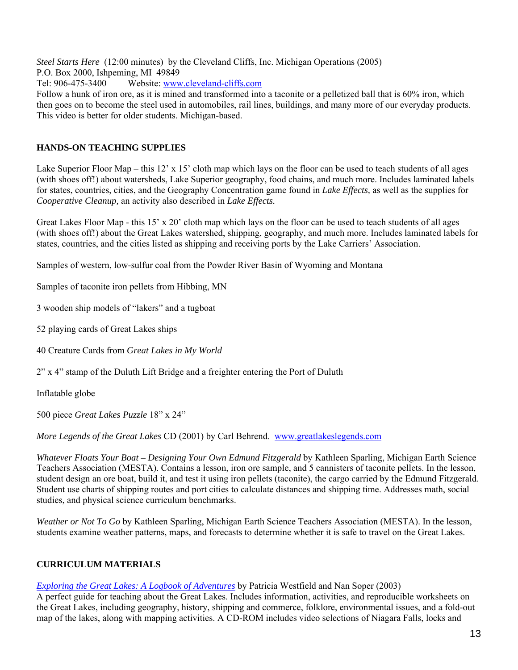*Steel Starts Here* (12:00 minutes) by the Cleveland Cliffs, Inc. Michigan Operations (2005)

P.O. Box 2000, Ishpeming, MI 49849

Tel: 906-475-3400 Website: [www.cleveland-cliffs.com](http://www.cleveland-cliffs.com/) 

Follow a hunk of iron ore, as it is mined and transformed into a taconite or a pelletized ball that is 60% iron, which then goes on to become the steel used in automobiles, rail lines, buildings, and many more of our everyday products. This video is better for older students. Michigan-based.

# **HANDS-ON TEACHING SUPPLIES**

Lake Superior Floor Map – this  $12' \times 15'$  cloth map which lays on the floor can be used to teach students of all ages (with shoes off!) about watersheds, Lake Superior geography, food chains, and much more. Includes laminated labels for states, countries, cities, and the Geography Concentration game found in *Lake Effects,* as well as the supplies for *Cooperative Cleanup,* an activity also described in *Lake Effects.*

Great Lakes Floor Map - this 15' x 20' cloth map which lays on the floor can be used to teach students of all ages (with shoes off!) about the Great Lakes watershed, shipping, geography, and much more. Includes laminated labels for states, countries, and the cities listed as shipping and receiving ports by the Lake Carriers' Association.

Samples of western, low-sulfur coal from the Powder River Basin of Wyoming and Montana

Samples of taconite iron pellets from Hibbing, MN

3 wooden ship models of "lakers" and a tugboat

- 52 playing cards of Great Lakes ships
- 40 Creature Cards from *Great Lakes in My World*
- 2" x 4" stamp of the Duluth Lift Bridge and a freighter entering the Port of Duluth

Inflatable globe

500 piece *Great Lakes Puzzle* 18" x 24"

*More Legends of the Great Lakes* CD (2001) by Carl Behrend. [www.greatlakeslegends.com](http://www.greatlakeslegends.com/)

*Whatever Floats Your Boat – Designing Your Own Edmund Fitzgerald* by Kathleen Sparling, Michigan Earth Science Teachers Association (MESTA). Contains a lesson, iron ore sample, and 5 cannisters of taconite pellets. In the lesson, student design an ore boat, build it, and test it using iron pellets (taconite), the cargo carried by the Edmund Fitzgerald. Student use charts of shipping routes and port cities to calculate distances and shipping time. Addresses math, social studies, and physical science curriculum benchmarks.

*Weather or Not To Go* by Kathleen Sparling, Michigan Earth Science Teachers Association (MESTA). In the lesson, students examine weather patterns, maps, and forecasts to determine whether it is safe to travel on the Great Lakes.

# **CURRICULUM MATERIALS**

*[Exploring the Great Lakes: A Logbook of Adventures](http://www.amazon.com/exec/obidos/tg/detail/-/0938682733/qid=1139875188/sr=1-4/ref=sr_1_4/103-2970187-8879830?v=glance&s=books)* by Patricia Westfield and Nan Soper (2003)

A perfect guide for teaching about the Great Lakes. Includes information, activities, and reproducible worksheets on the Great Lakes, including geography, history, shipping and commerce, folklore, environmental issues, and a fold-out map of the lakes, along with mapping activities. A CD-ROM includes video selections of Niagara Falls, locks and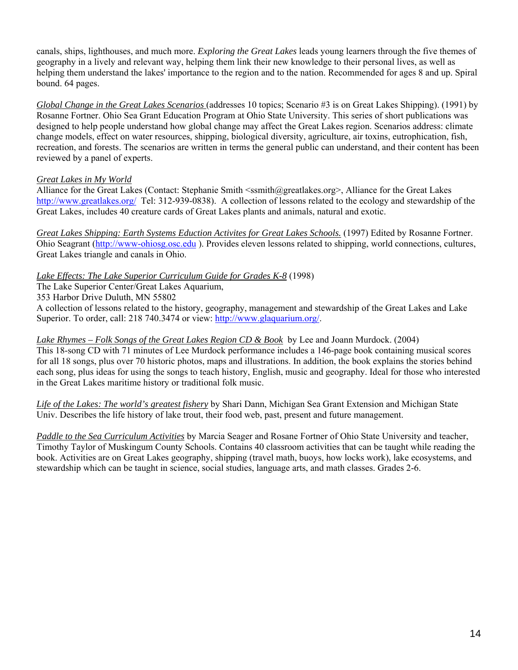canals, ships, lighthouses, and much more. *Exploring the Great Lakes* leads young learners through the five themes of geography in a lively and relevant way, helping them link their new knowledge to their personal lives, as well as helping them understand the lakes' importance to the region and to the nation. Recommended for ages 8 and up. Spiral bound. 64 pages.

*Global Change in the Great Lakes Scenarios* (addresses 10 topics; Scenario #3 is on Great Lakes Shipping). (1991) by Rosanne Fortner. Ohio Sea Grant Education Program at Ohio State University. This series of short publications was designed to help people understand how global change may affect the Great Lakes region. Scenarios address: climate change models, effect on water resources, shipping, biological diversity, agriculture, air toxins, eutrophication, fish, recreation, and forests. The scenarios are written in terms the general public can understand, and their content has been reviewed by a panel of experts.

# *Great Lakes in My World*

Alliance for the Great Lakes (Contact: Stephanie Smith  $\leq$ ssmith@greatlakes.org>, Alliance for the Great Lakes <http://www.greatlakes.org/> Tel: 312-939-0838). A collection of lessons related to the ecology and stewardship of the Great Lakes, includes 40 creature cards of Great Lakes plants and animals, natural and exotic.

*Great Lakes Shipping: Earth Systems Eduction Activites for Great Lakes Schools.* (1997) Edited by Rosanne Fortner. Ohio Seagrant ([http://www-ohiosg.osc.edu](http://www-ohiosg.osc.edu/) ). Provides eleven lessons related to shipping, world connections, cultures, Great Lakes triangle and canals in Ohio.

# *Lake Effects: The Lake Superior Curriculum Guide for Grades K-8* (1998)

The Lake Superior Center/Great Lakes Aquarium,

353 Harbor Drive Duluth, MN 55802

A collection of lessons related to the history, geography, management and stewardship of the Great Lakes and Lake Superior. To order, call: 218 740.3474 or view: [http://www.glaquarium.org/.](http://www.glaquarium.org/)

# *Lake Rhymes – Folk Songs of the Great Lakes Region CD & Book* by Lee and Joann Murdock. (2004)

This 18-song CD with 71 minutes of Lee Murdock performance includes a 146-page book containing musical scores for all 18 songs, plus over 70 historic photos, maps and illustrations. In addition, the book explains the stories behind each song, plus ideas for using the songs to teach history, English, music and geography. Ideal for those who interested in the Great Lakes maritime history or traditional folk music.

*Life of the Lakes: The world's greatest fishery* by Shari Dann, Michigan Sea Grant Extension and Michigan State Univ. Describes the life history of lake trout, their food web, past, present and future management.

*Paddle to the Sea Curriculum Activities* by Marcia Seager and Rosane Fortner of Ohio State University and teacher, Timothy Taylor of Muskingum County Schools. Contains 40 classroom activities that can be taught while reading the book. Activities are on Great Lakes geography, shipping (travel math, buoys, how locks work), lake ecosystems, and stewardship which can be taught in science, social studies, language arts, and math classes. Grades 2-6.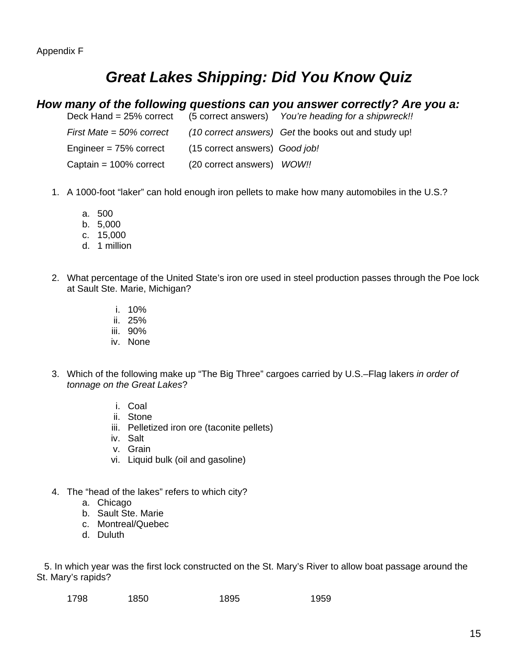# *Great Lakes Shipping: Did You Know Quiz*

#### *How many of the following questions can you answer correctly? Are you a:*<br>Deck Hand = 25% correct (5 correct answers) *You're heading for a shipwreckll* Deck Hand = 25% correct (5 correct answers) *You're heading for a shipwreck!!*

|                             |                                | $D$ in the state of $D$ is the contract and $D$ in the integrating for a simplificant. |
|-----------------------------|--------------------------------|----------------------------------------------------------------------------------------|
| First Mate = $50\%$ correct |                                | (10 correct answers) Get the books out and study up!                                   |
| Engineer = 75% correct      | (15 correct answers) Good job! |                                                                                        |
| Captain = 100% correct      | (20 correct answers) WOW!!     |                                                                                        |

- 1. A 1000-foot "laker" can hold enough iron pellets to make how many automobiles in the U.S.?
	- a. 500
	- b. 5,000
	- c. 15,000
	- d. 1 million
- 2. What percentage of the United State's iron ore used in steel production passes through the Poe lock at Sault Ste. Marie, Michigan?
	- i. 10%
	- ii. 25%
	- iii. 90%
	- iv. None
- 3. Which of the following make up "The Big Three" cargoes carried by U.S.–Flag lakers *in order of tonnage on the Great Lakes*?
	- i. Coal
	- ii. Stone
	- iii. Pelletized iron ore (taconite pellets)
	- iv. Salt
	- v. Grain
	- vi. Liquid bulk (oil and gasoline)
- 4. The "head of the lakes" refers to which city?
	- a. Chicago
	- b. Sault Ste. Marie
	- c. Montreal/Quebec
	- d. Duluth

 5. In which year was the first lock constructed on the St. Mary's River to allow boat passage around the St. Mary's rapids?

| 1798 | 1850 | 1895 | 1959 |
|------|------|------|------|
|      |      |      |      |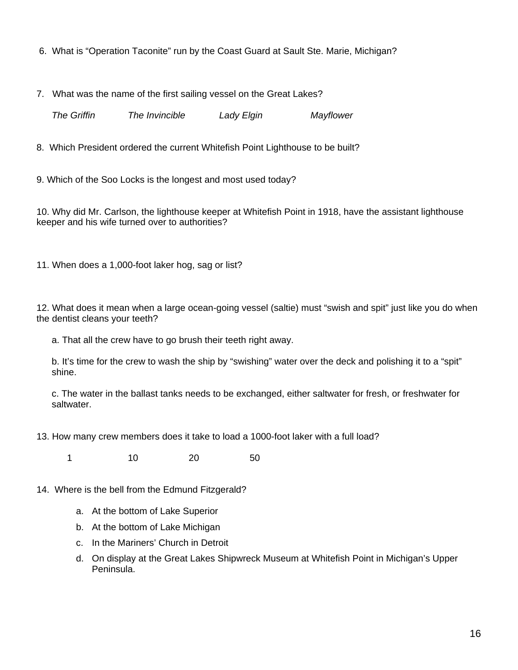- 6. What is "Operation Taconite" run by the Coast Guard at Sault Ste. Marie, Michigan?
- 7. What was the name of the first sailing vessel on the Great Lakes?

*The Griffin The Invincible Lady Elgin Mayflower* 

8.Which President ordered the current Whitefish Point Lighthouse to be built?

9. Which of the Soo Locks is the longest and most used today?

10. Why did Mr. Carlson, the lighthouse keeper at Whitefish Point in 1918, have the assistant lighthouse keeper and his wife turned over to authorities?

11. When does a 1,000-foot laker hog, sag or list?

12. What does it mean when a large ocean-going vessel (saltie) must "swish and spit" just like you do when the dentist cleans your teeth?

a. That all the crew have to go brush their teeth right away.

b. It's time for the crew to wash the ship by "swishing" water over the deck and polishing it to a "spit" shine.

c. The water in the ballast tanks needs to be exchanged, either saltwater for fresh, or freshwater for saltwater.

13. How many crew members does it take to load a 1000-foot laker with a full load?

1 10 20 50

- 14. Where is the bell from the Edmund Fitzgerald?
	- a. At the bottom of Lake Superior
	- b. At the bottom of Lake Michigan
	- c. In the Mariners' Church in Detroit
	- d. On display at the Great Lakes Shipwreck Museum at Whitefish Point in Michigan's Upper Peninsula.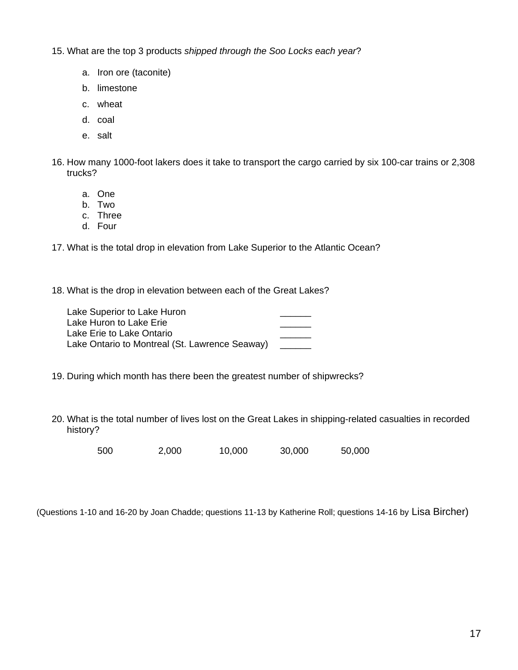15. What are the top 3 products *shipped through the Soo Locks each year*?

- a. Iron ore (taconite)
- b. limestone
- c. wheat
- d. coal
- e. salt
- 16. How many 1000-foot lakers does it take to transport the cargo carried by six 100-car trains or 2,308 trucks?
	- a. One
	- b. Two
	- c. Three
	- d. Four

17. What is the total drop in elevation from Lake Superior to the Atlantic Ocean?

18. What is the drop in elevation between each of the Great Lakes?

Lake Superior to Lake Huron Lake Huron to Lake Erie Lake Erie to Lake Ontario Lake Ontario to Montreal (St. Lawrence Seaway)

- 19. During which month has there been the greatest number of shipwrecks?
- 20. What is the total number of lives lost on the Great Lakes in shipping-related casualties in recorded history?

500 2,000 10,000 30,000 50,000

(Questions 1-10 and 16-20 by Joan Chadde; questions 11-13 by Katherine Roll; questions 14-16 by Lisa Bircher)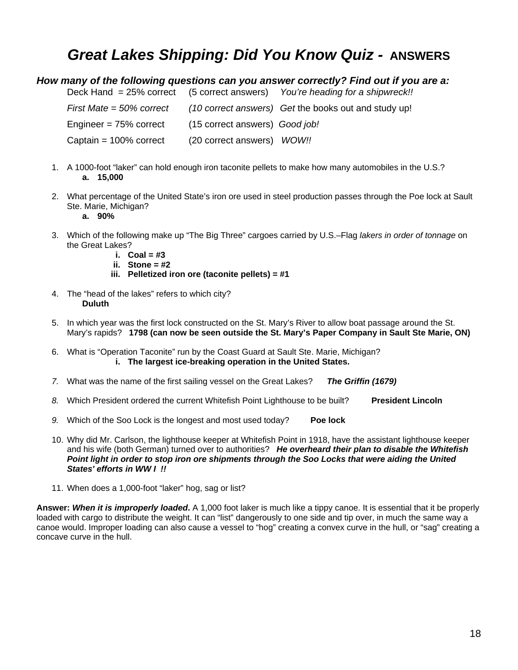# *Great Lakes Shipping: Did You Know Quiz -* **ANSWERS**

#### *How many of the following questions can you answer correctly? Find out if you are a:*

Deck Hand = 25% correct (5 correct answers) *You're heading for a shipwreck!!* 

| First Mate $=$ 50% correct |                                | (10 correct answers) Get the books out and study up! |
|----------------------------|--------------------------------|------------------------------------------------------|
| Engineer = $75%$ correct   | (15 correct answers) Good job! |                                                      |
| Captain = $100\%$ correct  | (20 correct answers) WOW!!     |                                                      |

- 1. A 1000-foot "laker" can hold enough iron taconite pellets to make how many automobiles in the U.S.? **a. 15,000**
- 2. What percentage of the United State's iron ore used in steel production passes through the Poe lock at Sault Ste. Marie, Michigan?
	- **a. 90%**
- 3. Which of the following make up "The Big Three" cargoes carried by U.S.–Flag *lakers in order of tonnage* on the Great Lakes?
	- **i. Coal = #3**
	- **ii. Stone = #2**
	- **iii. Pelletized iron ore (taconite pellets) = #1**
- 4. The "head of the lakes" refers to which city? **Duluth**
- 5. In which year was the first lock constructed on the St. Mary's River to allow boat passage around the St. Mary's rapids? **1798 (can now be seen outside the St. Mary's Paper Company in Sault Ste Marie, ON)**
- 6. What is "Operation Taconite" run by the Coast Guard at Sault Ste. Marie, Michigan? **i. The largest ice-breaking operation in the United States.**
- *7.* What was the name of the first sailing vessel on the Great Lakes? *The Griffin (1679)*
- 8. Which President ordered the current Whitefish Point Lighthouse to be built? **President Lincoln**
- *9.* Which of the Soo Lock is the longest and most used today? **Poe lock**
- 10. Why did Mr. Carlson, the lighthouse keeper at Whitefish Point in 1918, have the assistant lighthouse keeper and his wife (both German) turned over to authorities? *He overheard their plan to disable the Whitefish Point light in order to stop iron ore shipments through the Soo Locks that were aiding the United States' efforts in WW I !!*
- 11. When does a 1,000-foot "laker" hog, sag or list?

**Answer:** *When it is improperly loaded***.** A 1,000 foot laker is much like a tippy canoe. It is essential that it be properly loaded with cargo to distribute the weight. It can "list" dangerously to one side and tip over, in much the same way a canoe would. Improper loading can also cause a vessel to "hog" creating a convex curve in the hull, or "sag" creating a concave curve in the hull.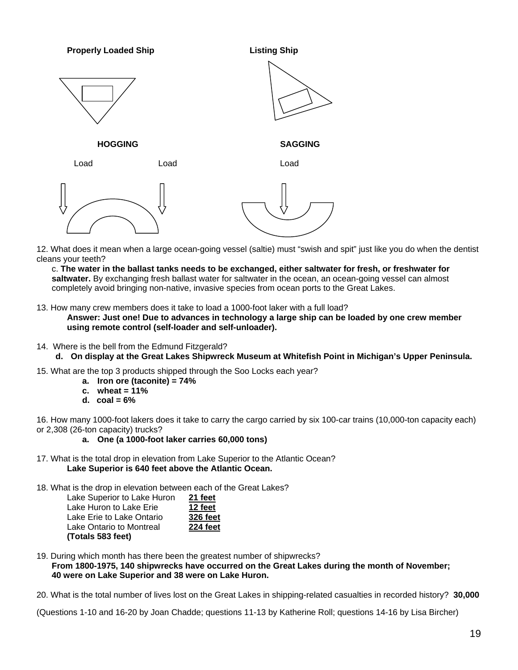**Properly Loaded Ship**  Listing Ship **HOGGING SAGGING**  Load Load Load

12. What does it mean when a large ocean-going vessel (saltie) must "swish and spit" just like you do when the dentist cleans your teeth?

c. **The water in the ballast tanks needs to be exchanged, either saltwater for fresh, or freshwater for saltwater.** By exchanging fresh ballast water for saltwater in the ocean, an ocean-going vessel can almost completely avoid bringing non-native, invasive species from ocean ports to the Great Lakes.

13. How many crew members does it take to load a 1000-foot laker with a full load?

**Answer: Just one! Due to advances in technology a large ship can be loaded by one crew member using remote control (self-loader and self-unloader).** 

- 14. Where is the bell from the Edmund Fitzgerald?
	- **d. On display at the Great Lakes Shipwreck Museum at Whitefish Point in Michigan's Upper Peninsula.**
- 15. What are the top 3 products shipped through the Soo Locks each year?
	- **a. Iron ore (taconite) = 74%**
	- **c. wheat = 11%**
	- **d. coal = 6%**

16. How many 1000-foot lakers does it take to carry the cargo carried by six 100-car trains (10,000-ton capacity each) or 2,308 (26-ton capacity) trucks?

- **a. One (a 1000-foot laker carries 60,000 tons)**
- 17. What is the total drop in elevation from Lake Superior to the Atlantic Ocean? **Lake Superior is 640 feet above the Atlantic Ocean.**

18. What is the drop in elevation between each of the Great Lakes?

| Lake Superior to Lake Huron | 21 feet         |
|-----------------------------|-----------------|
| Lake Huron to Lake Erie     | 12 feet         |
| Lake Erie to Lake Ontario   | <b>326 feet</b> |
| Lake Ontario to Montreal    | 224 feet        |
| (Totals 583 feet)           |                 |

19. During which month has there been the greatest number of shipwrecks? **From 1800-1975, 140 shipwrecks have occurred on the Great Lakes during the month of November; 40 were on Lake Superior and 38 were on Lake Huron.** 

20. What is the total number of lives lost on the Great Lakes in shipping-related casualties in recorded history? **30,000** 

(Questions 1-10 and 16-20 by Joan Chadde; questions 11-13 by Katherine Roll; questions 14-16 by Lisa Bircher)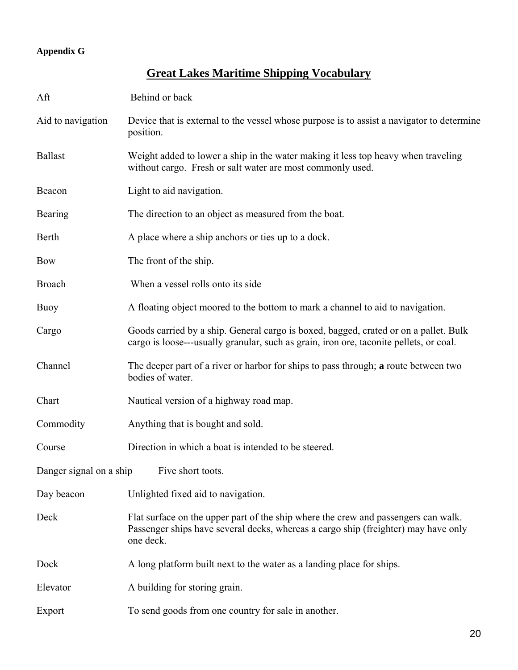# **Appendix G**

# **Great Lakes Maritime Shipping Vocabulary**

| Aft                                       | Behind or back                                                                                                                                                                        |  |
|-------------------------------------------|---------------------------------------------------------------------------------------------------------------------------------------------------------------------------------------|--|
| Aid to navigation                         | Device that is external to the vessel whose purpose is to assist a navigator to determine<br>position.                                                                                |  |
| <b>Ballast</b>                            | Weight added to lower a ship in the water making it less top heavy when traveling<br>without cargo. Fresh or salt water are most commonly used.                                       |  |
| Beacon                                    | Light to aid navigation.                                                                                                                                                              |  |
| Bearing                                   | The direction to an object as measured from the boat.                                                                                                                                 |  |
| Berth                                     | A place where a ship anchors or ties up to a dock.                                                                                                                                    |  |
| <b>Bow</b>                                | The front of the ship.                                                                                                                                                                |  |
| <b>Broach</b>                             | When a vessel rolls onto its side                                                                                                                                                     |  |
| Buoy                                      | A floating object moored to the bottom to mark a channel to aid to navigation.                                                                                                        |  |
| Cargo                                     | Goods carried by a ship. General cargo is boxed, bagged, crated or on a pallet. Bulk<br>cargo is loose---usually granular, such as grain, iron ore, taconite pellets, or coal.        |  |
| Channel                                   | The deeper part of a river or harbor for ships to pass through; a route between two<br>bodies of water.                                                                               |  |
| Chart                                     | Nautical version of a highway road map.                                                                                                                                               |  |
| Commodity                                 | Anything that is bought and sold.                                                                                                                                                     |  |
| Course                                    | Direction in which a boat is intended to be steered.                                                                                                                                  |  |
| Danger signal on a ship Five short toots. |                                                                                                                                                                                       |  |
| Day beacon                                | Unlighted fixed aid to navigation.                                                                                                                                                    |  |
| Deck                                      | Flat surface on the upper part of the ship where the crew and passengers can walk.<br>Passenger ships have several decks, whereas a cargo ship (freighter) may have only<br>one deck. |  |
| Dock                                      | A long platform built next to the water as a landing place for ships.                                                                                                                 |  |
| Elevator                                  | A building for storing grain.                                                                                                                                                         |  |
| Export                                    | To send goods from one country for sale in another.                                                                                                                                   |  |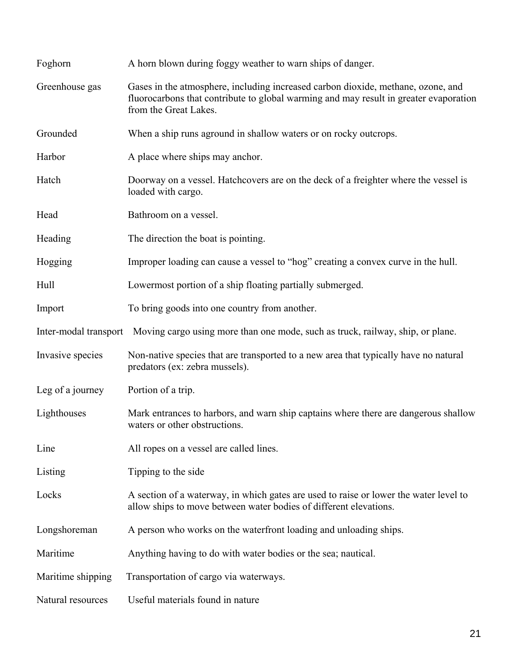| Foghorn               | A horn blown during foggy weather to warn ships of danger.                                                                                                                                         |
|-----------------------|----------------------------------------------------------------------------------------------------------------------------------------------------------------------------------------------------|
| Greenhouse gas        | Gases in the atmosphere, including increased carbon dioxide, methane, ozone, and<br>fluorocarbons that contribute to global warming and may result in greater evaporation<br>from the Great Lakes. |
| Grounded              | When a ship runs aground in shallow waters or on rocky outcrops.                                                                                                                                   |
| Harbor                | A place where ships may anchor.                                                                                                                                                                    |
| Hatch                 | Doorway on a vessel. Hatchcovers are on the deck of a freighter where the vessel is<br>loaded with cargo.                                                                                          |
| Head                  | Bathroom on a vessel.                                                                                                                                                                              |
| Heading               | The direction the boat is pointing.                                                                                                                                                                |
| Hogging               | Improper loading can cause a vessel to "hog" creating a convex curve in the hull.                                                                                                                  |
| Hull                  | Lowermost portion of a ship floating partially submerged.                                                                                                                                          |
| Import                | To bring goods into one country from another.                                                                                                                                                      |
| Inter-modal transport | Moving cargo using more than one mode, such as truck, railway, ship, or plane.                                                                                                                     |
| Invasive species      | Non-native species that are transported to a new area that typically have no natural<br>predators (ex: zebra mussels).                                                                             |
| Leg of a journey      | Portion of a trip.                                                                                                                                                                                 |
| Lighthouses           | Mark entrances to harbors, and warn ship captains where there are dangerous shallow<br>waters or other obstructions.                                                                               |
| Line                  | All ropes on a vessel are called lines.                                                                                                                                                            |
| Listing               | Tipping to the side                                                                                                                                                                                |
| Locks                 | A section of a waterway, in which gates are used to raise or lower the water level to<br>allow ships to move between water bodies of different elevations.                                         |
| Longshoreman          | A person who works on the waterfront loading and unloading ships.                                                                                                                                  |
| Maritime              | Anything having to do with water bodies or the sea; nautical.                                                                                                                                      |
| Maritime shipping     | Transportation of cargo via waterways.                                                                                                                                                             |
| Natural resources     | Useful materials found in nature                                                                                                                                                                   |